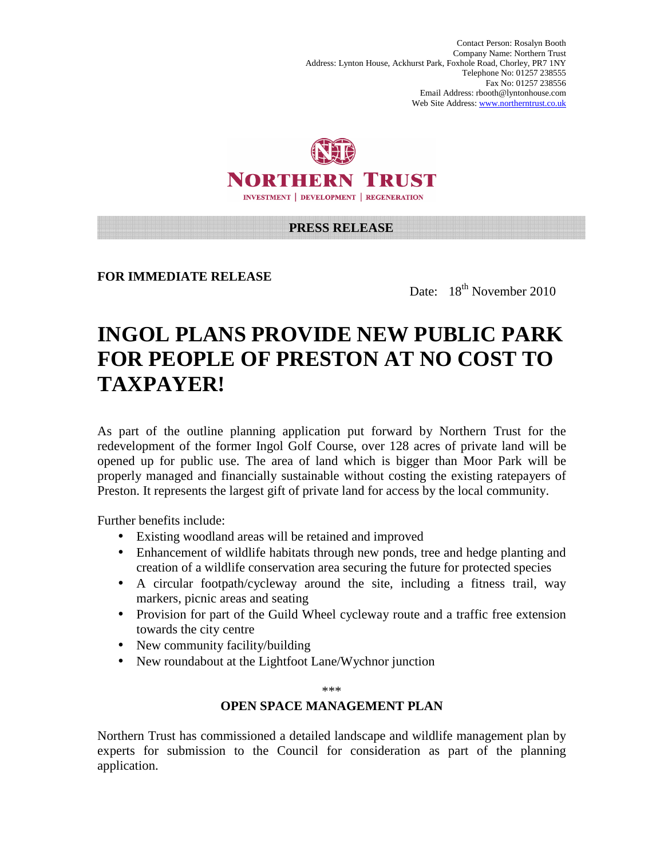Contact Person: Rosalyn Booth Company Name: Northern Trust Address: Lynton House, Ackhurst Park, Foxhole Road, Chorley, PR7 1NY Telephone No: 01257 238555 Fax No: 01257 238556 Email Address: rbooth@lyntonhouse.com Web Site Address: www.northerntrust.co.uk



### **PRESS RELEASE**

**FOR IMMEDIATE RELEASE** 

Date: 18<sup>th</sup> November 2010

# **INGOL PLANS PROVIDE NEW PUBLIC PARK FOR PEOPLE OF PRESTON AT NO COST TO TAXPAYER!**

As part of the outline planning application put forward by Northern Trust for the redevelopment of the former Ingol Golf Course, over 128 acres of private land will be opened up for public use. The area of land which is bigger than Moor Park will be properly managed and financially sustainable without costing the existing ratepayers of Preston. It represents the largest gift of private land for access by the local community.

Further benefits include:

- Existing woodland areas will be retained and improved
- Enhancement of wildlife habitats through new ponds, tree and hedge planting and creation of a wildlife conservation area securing the future for protected species
- A circular footpath/cycleway around the site, including a fitness trail, way markers, picnic areas and seating
- Provision for part of the Guild Wheel cycleway route and a traffic free extension towards the city centre
- New community facility/building
- New roundabout at the Lightfoot Lane/Wychnor junction

\*\*\*

### **OPEN SPACE MANAGEMENT PLAN**

Northern Trust has commissioned a detailed landscape and wildlife management plan by experts for submission to the Council for consideration as part of the planning application.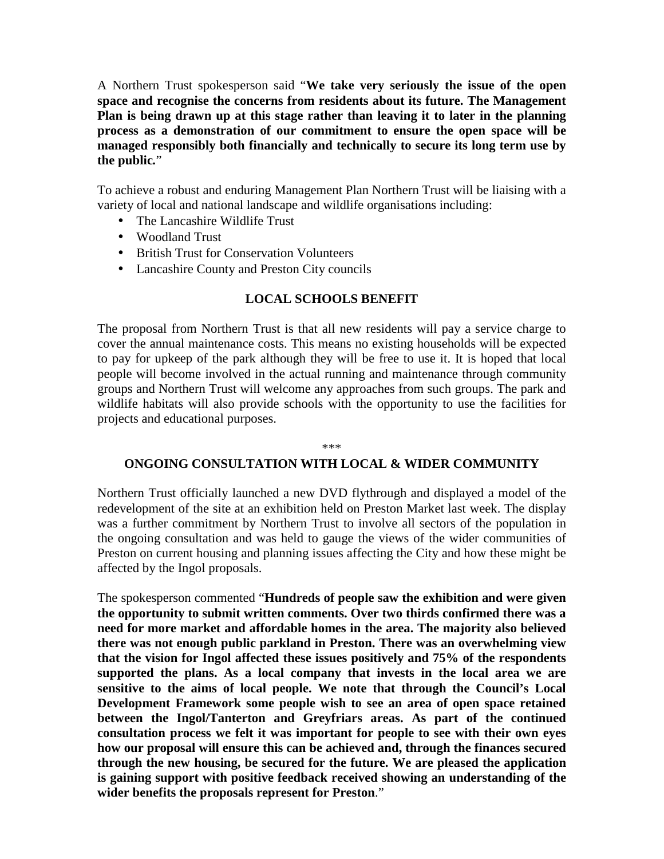A Northern Trust spokesperson said "**We take very seriously the issue of the open space and recognise the concerns from residents about its future. The Management Plan is being drawn up at this stage rather than leaving it to later in the planning process as a demonstration of our commitment to ensure the open space will be managed responsibly both financially and technically to secure its long term use by the public***.*"

To achieve a robust and enduring Management Plan Northern Trust will be liaising with a variety of local and national landscape and wildlife organisations including:

- The Lancashire Wildlife Trust
- Woodland Trust
- British Trust for Conservation Volunteers
- Lancashire County and Preston City councils

## **LOCAL SCHOOLS BENEFIT**

The proposal from Northern Trust is that all new residents will pay a service charge to cover the annual maintenance costs. This means no existing households will be expected to pay for upkeep of the park although they will be free to use it. It is hoped that local people will become involved in the actual running and maintenance through community groups and Northern Trust will welcome any approaches from such groups. The park and wildlife habitats will also provide schools with the opportunity to use the facilities for projects and educational purposes.

#### \*\*\*

#### **ONGOING CONSULTATION WITH LOCAL & WIDER COMMUNITY**

Northern Trust officially launched a new DVD flythrough and displayed a model of the redevelopment of the site at an exhibition held on Preston Market last week. The display was a further commitment by Northern Trust to involve all sectors of the population in the ongoing consultation and was held to gauge the views of the wider communities of Preston on current housing and planning issues affecting the City and how these might be affected by the Ingol proposals.

The spokesperson commented "**Hundreds of people saw the exhibition and were given the opportunity to submit written comments. Over two thirds confirmed there was a need for more market and affordable homes in the area. The majority also believed there was not enough public parkland in Preston. There was an overwhelming view that the vision for Ingol affected these issues positively and 75% of the respondents supported the plans. As a local company that invests in the local area we are sensitive to the aims of local people. We note that through the Council's Local Development Framework some people wish to see an area of open space retained between the Ingol/Tanterton and Greyfriars areas. As part of the continued consultation process we felt it was important for people to see with their own eyes how our proposal will ensure this can be achieved and, through the finances secured through the new housing, be secured for the future. We are pleased the application is gaining support with positive feedback received showing an understanding of the wider benefits the proposals represent for Preston**."